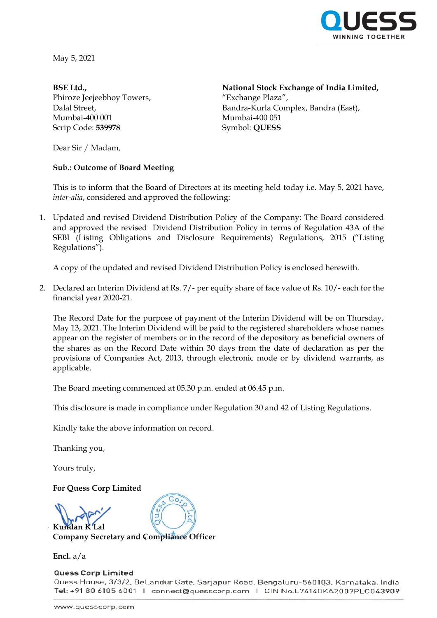

May 5, 2021

**BSE Ltd.,** Phiroze Jeejeebhoy Towers, Dalal Street, Mumbai-400 001 Scrip Code: **539978**

**National Stock Exchange of India Limited,** "Exchange Plaza", Bandra-Kurla Complex, Bandra (East), Mumbai-400 051 Symbol: **QUESS**

Dear Sir / Madam,

## **Sub.: Outcome of Board Meeting**

This is to inform that the Board of Directors at its meeting held today i.e. May 5, 2021 have, *inter-alia*, considered and approved the following:

1. Updated and revised Dividend Distribution Policy of the Company: The Board considered and approved the revised Dividend Distribution Policy in terms of Regulation 43A of the SEBI (Listing Obligations and Disclosure Requirements) Regulations, 2015 ("Listing Regulations").

A copy of the updated and revised Dividend Distribution Policy is enclosed herewith.

2. Declared an Interim Dividend at Rs. 7/- per equity share of face value of Rs. 10/- each for the financial year 2020-21.

The Record Date for the purpose of payment of the Interim Dividend will be on Thursday, May 13, 2021. The Interim Dividend will be paid to the registered shareholders whose names appear on the register of members or in the record of the depository as beneficial owners of the shares as on the Record Date within 30 days from the date of declaration as per the provisions of Companies Act, 2013, through electronic mode or by dividend warrants, as applicable.

The Board meeting commenced at 05.30 p.m. ended at 06.45 p.m.

This disclosure is made in compliance under Regulation 30 and 42 of Listing Regulations.

Kindly take the above information on record.

Thanking you,

Yours truly,

**For Quess Corp Limited**

**Kundan K Lal**

**Company Secretary and Compliance Officer**

**Encl.** a/a

**Quess Corp Limited** Quess House, 3/3/2, Bellandur Gate, Sarjapur Road, Bengaluru-560103, Karnataka, India Tel: +91 80 6105 6001 | connect@quesscorp.com | CIN No.L74140KA2007PLC043909

 $Co<sub>r</sub>$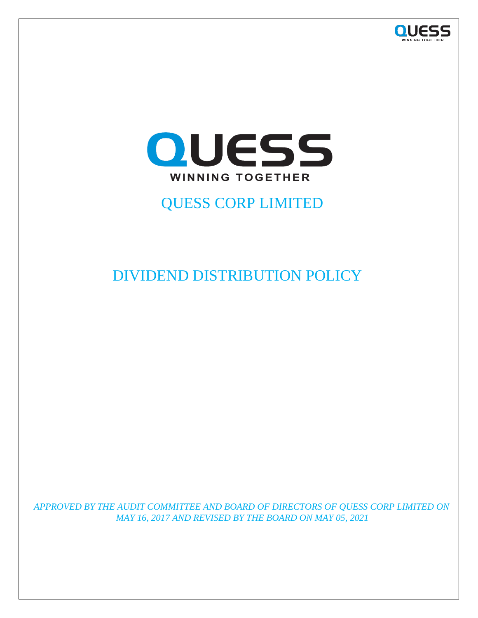



# QUESS CORP LIMITED

DIVIDEND DISTRIBUTION POLICY

*APPROVED BY THE AUDIT COMMITTEE AND BOARD OF DIRECTORS OF QUESS CORP LIMITED ON MAY 16, 2017 AND REVISED BY THE BOARD ON MAY 05, 2021*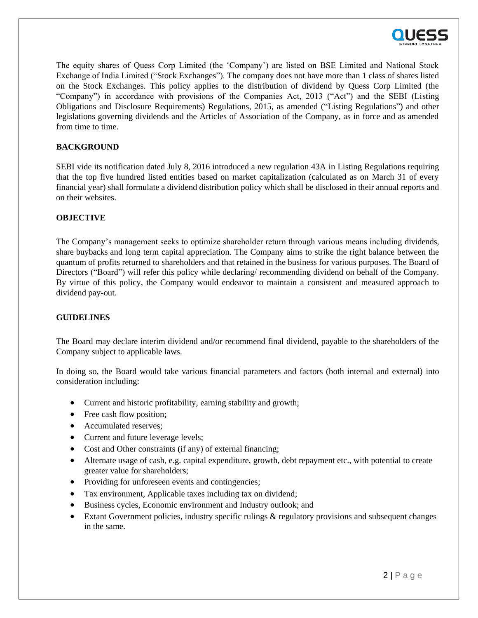

The equity shares of Quess Corp Limited (the 'Company') are listed on BSE Limited and National Stock Exchange of India Limited ("Stock Exchanges"). The company does not have more than 1 class of shares listed on the Stock Exchanges. This policy applies to the distribution of dividend by Quess Corp Limited (the "Company") in accordance with provisions of the Companies Act, 2013 ("Act") and the SEBI (Listing Obligations and Disclosure Requirements) Regulations, 2015, as amended ("Listing Regulations") and other legislations governing dividends and the Articles of Association of the Company, as in force and as amended from time to time.

### **BACKGROUND**

SEBI vide its notification dated July 8, 2016 introduced a new regulation 43A in Listing Regulations requiring that the top five hundred listed entities based on market capitalization (calculated as on March 31 of every financial year) shall formulate a dividend distribution policy which shall be disclosed in their annual reports and on their websites.

#### **OBJECTIVE**

The Company's management seeks to optimize shareholder return through various means including dividends, share buybacks and long term capital appreciation. The Company aims to strike the right balance between the quantum of profits returned to shareholders and that retained in the business for various purposes. The Board of Directors ("Board") will refer this policy while declaring/ recommending dividend on behalf of the Company. By virtue of this policy, the Company would endeavor to maintain a consistent and measured approach to dividend pay-out.

### **GUIDELINES**

The Board may declare interim dividend and/or recommend final dividend, payable to the shareholders of the Company subject to applicable laws.

In doing so, the Board would take various financial parameters and factors (both internal and external) into consideration including:

- Current and historic profitability, earning stability and growth;
- Free cash flow position;
- Accumulated reserves;
- Current and future leverage levels;
- Cost and Other constraints (if any) of external financing;
- Alternate usage of cash, e.g. capital expenditure, growth, debt repayment etc., with potential to create greater value for shareholders;
- Providing for unforeseen events and contingencies;
- Tax environment, Applicable taxes including tax on dividend;
- Business cycles, Economic environment and Industry outlook; and
- Extant Government policies, industry specific rulings & regulatory provisions and subsequent changes in the same.